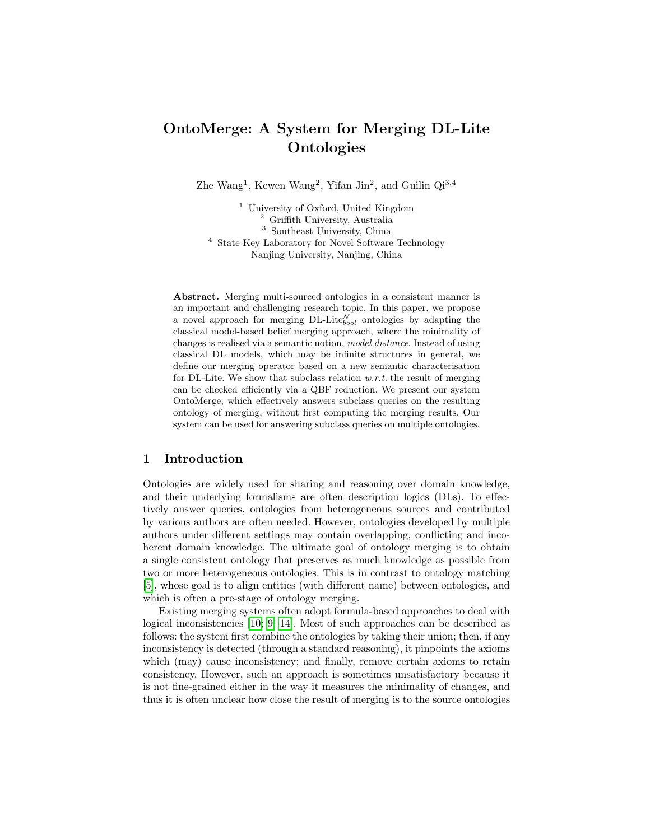# OntoMerge: A System for Merging DL-Lite **Ontologies**

Zhe Wang<sup>1</sup>, Kewen Wang<sup>2</sup>, Yifan Jin<sup>2</sup>, and Guilin  $Qi^{3,4}$ 

<sup>1</sup> University of Oxford, United Kingdom <sup>2</sup> Griffith University, Australia <sup>3</sup> Southeast University, China <sup>4</sup> State Key Laboratory for Novel Software Technology Nanjing University, Nanjing, China

Abstract. Merging multi-sourced ontologies in a consistent manner is an important and challenging research topic. In this paper, we propose a novel approach for merging DL-Lite $_{bool}^{\mathcal{N}}$  ontologies by adapting the classical model-based belief merging approach, where the minimality of changes is realised via a semantic notion, model distance. Instead of using classical DL models, which may be infinite structures in general, we define our merging operator based on a new semantic characterisation for DL-Lite. We show that subclass relation  $w.r.t.$  the result of merging can be checked efficiently via a QBF reduction. We present our system OntoMerge, which effectively answers subclass queries on the resulting ontology of merging, without first computing the merging results. Our system can be used for answering subclass queries on multiple ontologies.

#### 1 Introduction

Ontologies are widely used for sharing and reasoning over domain knowledge, and their underlying formalisms are often description logics (DLs). To effectively answer queries, ontologies from heterogeneous sources and contributed by various authors are often needed. However, ontologies developed by multiple authors under different settings may contain overlapping, conflicting and incoherent domain knowledge. The ultimate goal of ontology merging is to obtain a single consistent ontology that preserves as much knowledge as possible from two or more heterogeneous ontologies. This is in contrast to ontology matching [\[5\]](#page-11-0), whose goal is to align entities (with different name) between ontologies, and which is often a pre-stage of ontology merging.

Existing merging systems often adopt formula-based approaches to deal with logical inconsistencies [\[10;](#page-11-1) [9;](#page-11-2) [14\]](#page-11-3). Most of such approaches can be described as follows: the system first combine the ontologies by taking their union; then, if any inconsistency is detected (through a standard reasoning), it pinpoints the axioms which (may) cause inconsistency; and finally, remove certain axioms to retain consistency. However, such an approach is sometimes unsatisfactory because it is not fine-grained either in the way it measures the minimality of changes, and thus it is often unclear how close the result of merging is to the source ontologies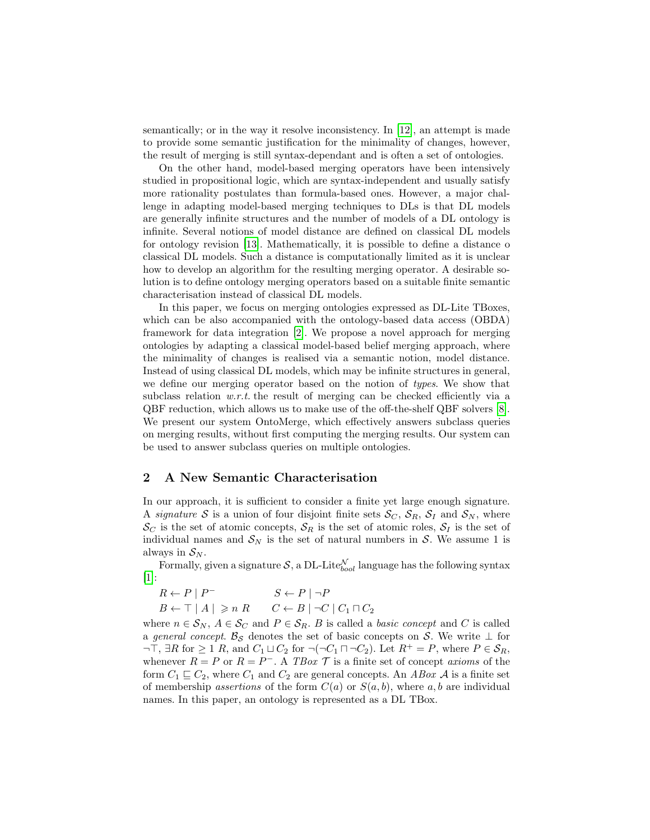semantically; or in the way it resolve inconsistency. In [\[12\]](#page-11-4), an attempt is made to provide some semantic justification for the minimality of changes, however, the result of merging is still syntax-dependant and is often a set of ontologies.

On the other hand, model-based merging operators have been intensively studied in propositional logic, which are syntax-independent and usually satisfy more rationality postulates than formula-based ones. However, a major challenge in adapting model-based merging techniques to DLs is that DL models are generally infinite structures and the number of models of a DL ontology is infinite. Several notions of model distance are defined on classical DL models for ontology revision [\[13\]](#page-11-5). Mathematically, it is possible to define a distance o classical DL models. Such a distance is computationally limited as it is unclear how to develop an algorithm for the resulting merging operator. A desirable solution is to define ontology merging operators based on a suitable finite semantic characterisation instead of classical DL models.

In this paper, we focus on merging ontologies expressed as DL-Lite TBoxes, which can be also accompanied with the ontology-based data access (OBDA) framework for data integration [\[2\]](#page-11-6). We propose a novel approach for merging ontologies by adapting a classical model-based belief merging approach, where the minimality of changes is realised via a semantic notion, model distance. Instead of using classical DL models, which may be infinite structures in general, we define our merging operator based on the notion of types. We show that subclass relation  $w.r.t.$  the result of merging can be checked efficiently via a QBF reduction, which allows us to make use of the off-the-shelf QBF solvers [\[8\]](#page-11-7). We present our system OntoMerge, which effectively answers subclass queries on merging results, without first computing the merging results. Our system can be used to answer subclass queries on multiple ontologies.

# 2 A New Semantic Characterisation

In our approach, it is sufficient to consider a finite yet large enough signature. A signature S is a union of four disjoint finite sets  $S_C$ ,  $S_R$ ,  $S_I$  and  $S_N$ , where  $\mathcal{S}_C$  is the set of atomic concepts,  $\mathcal{S}_R$  is the set of atomic roles,  $\mathcal{S}_I$  is the set of individual names and  $S_N$  is the set of natural numbers in S. We assume 1 is always in  $S_N$ .

Formally, given a signature  $\mathcal{S}$ , a DL-Lite $_{bool}^{\mathcal{N}}$  language has the following syntax [\[1\]](#page-11-8):

$$
R \leftarrow P \mid P^{-}
$$
  
\n
$$
B \leftarrow \top | A | \ge n R
$$
  
\n
$$
S \leftarrow P \mid \neg P
$$
  
\n
$$
C \leftarrow B | \neg C | C_1 \sqcap C_2
$$

where  $n \in S_N$ ,  $A \in S_C$  and  $P \in S_R$ . B is called a *basic concept* and C is called a general concept.  $\mathcal{B}_{\mathcal{S}}$  denotes the set of basic concepts on S. We write  $\perp$  for  $\neg$ T,  $\exists R$  for  $\geq 1$  R, and  $C_1 \sqcup C_2$  for  $\neg(\neg C_1 \sqcap \neg C_2)$ . Let  $R^+ = P$ , where  $P \in \mathcal{S}_R$ , whenever  $R = P$  or  $R = P^{-}$ . A TBox  $\mathcal T$  is a finite set of concept axioms of the form  $C_1 \sqsubseteq C_2$ , where  $C_1$  and  $C_2$  are general concepts. An ABox A is a finite set of membership assertions of the form  $C(a)$  or  $S(a, b)$ , where a, b are individual names. In this paper, an ontology is represented as a DL TBox.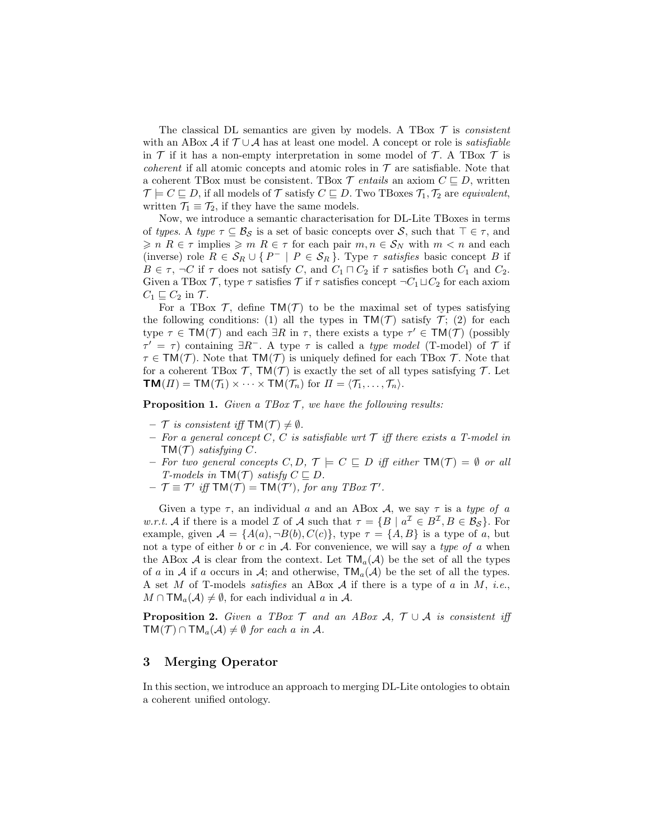The classical DL semantics are given by models. A TBox  $\mathcal T$  is consistent with an ABox A if  $\mathcal{T} \cup \mathcal{A}$  has at least one model. A concept or role is *satisfiable* in  $\mathcal T$  if it has a non-empty interpretation in some model of  $\mathcal T$ . A TBox  $\mathcal T$  is *coherent* if all atomic concepts and atomic roles in  $\mathcal T$  are satisfiable. Note that a coherent TBox must be consistent. TBox  $\mathcal{T}$  entails an axiom  $C \subseteq D$ , written  $\mathcal{T} \models C \sqsubseteq D$ , if all models of  $\mathcal{T}$  satisfy  $C \sqsubseteq D$ . Two TBoxes  $\mathcal{T}_1, \mathcal{T}_2$  are equivalent, written  $\mathcal{T}_1 \equiv \mathcal{T}_2$ , if they have the same models.

Now, we introduce a semantic characterisation for DL-Lite TBoxes in terms of types. A type  $\tau \subseteq \mathcal{B}_{\mathcal{S}}$  is a set of basic concepts over  $\mathcal{S}$ , such that  $\tau \in \tau$ , and  $\geqslant n$  R  $\in \tau$  implies  $\geqslant m$  R  $\in \tau$  for each pair  $m, n \in S_N$  with  $m < n$  and each (inverse) role  $R \in S_R \cup \{P^- | P \in S_R\}$ . Type  $\tau$  satisfies basic concept B if  $B \in \tau$ ,  $\neg C$  if  $\tau$  does not satisfy C, and  $C_1 \sqcap C_2$  if  $\tau$  satisfies both  $C_1$  and  $C_2$ . Given a TBox T, type  $\tau$  satisfies T if  $\tau$  satisfies concept  $\neg C_1 \sqcup C_2$  for each axiom  $C_1 \sqsubseteq C_2$  in  $\mathcal{T}$ .

For a TBox  $\mathcal{T}$ , define  $TM(\mathcal{T})$  to be the maximal set of types satisfying the following conditions: (1) all the types in  $TM(\mathcal{T})$  satisfy  $\mathcal{T}$ ; (2) for each type  $\tau \in \text{TM}(\mathcal{T})$  and each  $\exists R$  in  $\tau$ , there exists a type  $\tau' \in \text{TM}(\mathcal{T})$  (possibly  $\tau' = \tau$ ) containing  $\exists R^-$ . A type  $\tau$  is called a *type model* (T-model) of  $\mathcal T$  if  $\tau \in TM(\mathcal{T})$ . Note that  $TM(\mathcal{T})$  is uniquely defined for each TBox  $\mathcal{T}$ . Note that for a coherent TBox  $\mathcal{T}$ , TM( $\mathcal{T}$ ) is exactly the set of all types satisfying  $\mathcal{T}$ . Let  $TM(\Pi) = TM(\mathcal{T}_1) \times \cdots \times TM(\mathcal{T}_n)$  for  $\Pi = \langle \mathcal{T}_1, \ldots, \mathcal{T}_n \rangle$ .

<span id="page-2-1"></span>**Proposition 1.** Given a TBox  $\mathcal{T}$ , we have the following results:

- $-$  T is consistent iff TM(T)  $\neq \emptyset$ .
- For a general concept C, C is satisfiable wrt  $\mathcal T$  iff there exists a T-model in  $TM(\mathcal{T})$  satisfying C.
- For two general concepts  $C, D, \mathcal{T} \models C \sqsubseteq D$  iff either  $TM(\mathcal{T}) = \emptyset$  or all T-models in  $TM(\mathcal{T})$  satisfy  $C \sqsubseteq D$ .
- $-\mathcal{T} \equiv \mathcal{T}'$  iff  $TM(\mathcal{T}) = TM(\mathcal{T}')$ , for any TBox  $\mathcal{T}'$ .

Given a type  $\tau$ , an individual a and an ABox A, we say  $\tau$  is a type of a w.r.t. A if there is a model I of A such that  $\tau = \{B \mid a^{\mathcal{I}} \in B^{\mathcal{I}}, B \in \mathcal{B}_{\mathcal{S}}\}$ . For example, given  $A = \{A(a), \neg B(b), C(c)\}\$ , type  $\tau = \{A, B\}$  is a type of a, but not a type of either b or c in  $A$ . For convenience, we will say a type of a when the ABox A is clear from the context. Let  $TM_a(\mathcal{A})$  be the set of all the types of a in A if a occurs in A; and otherwise,  $TM_a(\mathcal{A})$  be the set of all the types. A set M of T-models *satisfies* an ABox A if there is a type of a in M, *i.e.*,  $M \cap TM_a(\mathcal{A}) \neq \emptyset$ , for each individual a in A.

<span id="page-2-0"></span>**Proposition 2.** Given a TBox  $\mathcal{T}$  and an ABox  $\mathcal{A}$ ,  $\mathcal{T} \cup \mathcal{A}$  is consistent iff  $TM(\mathcal{T}) \cap TM_a(\mathcal{A}) \neq \emptyset$  for each a in A.

# 3 Merging Operator

In this section, we introduce an approach to merging DL-Lite ontologies to obtain a coherent unified ontology.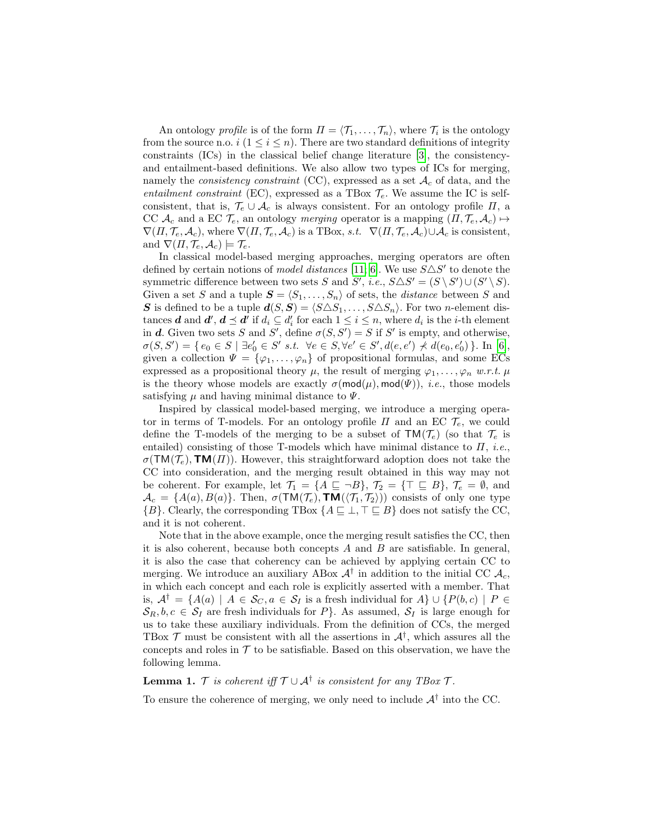An ontology *profile* is of the form  $\Pi = \langle \mathcal{T}_1, \ldots, \mathcal{T}_n \rangle$ , where  $\mathcal{T}_i$  is the ontology from the source n.o.  $i$   $(1 \leq i \leq n)$ . There are two standard definitions of integrity constraints  $(ICs)$  in the classical belief change literature  $|3|$ , the consistencyand entailment-based definitions. We also allow two types of ICs for merging, namely the *consistency constraint* (CC), expressed as a set  $A_c$  of data, and the entailment constraint (EC), expressed as a TBox  $\mathcal{T}_e$ . We assume the IC is selfconsistent, that is,  $\mathcal{T}_e \cup \mathcal{A}_c$  is always consistent. For an ontology profile  $\Pi$ , a CC  $\mathcal{A}_c$  and a EC  $\mathcal{T}_e$ , an ontology *merging* operator is a mapping  $(\Pi, \mathcal{T}_e, \mathcal{A}_c) \mapsto$  $\nabla(\Pi, \mathcal{T}_e, \mathcal{A}_c)$ , where  $\nabla(\Pi, \mathcal{T}_e, \mathcal{A}_c)$  is a TBox, s.t.  $\nabla(\Pi, \mathcal{T}_e, \mathcal{A}_c) \cup \mathcal{A}_c$  is consistent, and  $\nabla(\Pi, \mathcal{T}_e, \mathcal{A}_c) \models \mathcal{T}_e$ .

In classical model-based merging approaches, merging operators are often defined by certain notions of *model distances* [\[11;](#page-11-10) [6\]](#page-11-11). We use  $S\triangle S'$  to denote the symmetric difference between two sets S and S', i.e.,  $S \triangle S' = (S \setminus S') \cup (S' \setminus S)$ . Given a set S and a tuple  $S = \langle S_1, \ldots, S_n \rangle$  of sets, the *distance* between S and **S** is defined to be a tuple  $d(S, S) = \langle S \triangle S_1, \ldots, S \triangle S_n \rangle$ . For two n-element distances **d** and **d'**, **d**  $\leq$  **d'** if  $d_i \subseteq d'_i$  for each  $1 \leq i \leq n$ , where  $d_i$  is the *i*-th element in d. Given two sets S and S', define  $\sigma(S, S') = S$  if S' is empty, and otherwise,  $\sigma(S, S') = \{ e_0 \in S \mid \exists e'_0 \in S' \text{ s.t. } \forall e \in S, \forall e' \in S', d(e, e') \nless d(e_0, e'_0) \}.$  In [\[6\]](#page-11-11), given a collection  $\Psi = {\varphi_1, \ldots, \varphi_n}$  of propositional formulas, and some ECs expressed as a propositional theory  $\mu$ , the result of merging  $\varphi_1, \ldots, \varphi_n$  w.r.t.  $\mu$ is the theory whose models are exactly  $\sigma(\text{mod}(\mu), \text{mod}(\Psi))$ , *i.e.*, those models satisfying  $\mu$  and having minimal distance to  $\Psi$ .

Inspired by classical model-based merging, we introduce a merging operator in terms of T-models. For an ontology profile  $\Pi$  and an EC  $\mathcal{T}_{e}$ , we could define the T-models of the merging to be a subset of  $TM(\mathcal{T}_e)$  (so that  $\mathcal{T}_e$  is entailed) consisting of those T-models which have minimal distance to  $\Pi$ , *i.e.*,  $\sigma(TM(\mathcal{T}_e), \textbf{TM}(\Pi))$ . However, this straightforward adoption does not take the CC into consideration, and the merging result obtained in this way may not be coherent. For example, let  $\mathcal{T}_1 = \{A \sqsubseteq \neg B\}$ ,  $\mathcal{T}_2 = \{\top \sqsubseteq B\}$ ,  $\mathcal{T}_e = \emptyset$ , and  $\mathcal{A}_c = \{A(a), B(a)\}.$  Then,  $\sigma(TM(\mathcal{T}_e), TM(\langle \mathcal{T}_1, \mathcal{T}_2 \rangle))$  consists of only one type  ${B}$ . Clearly, the corresponding TBox  ${A \sqsubseteq \bot, \top \sqsubseteq B}$  does not satisfy the CC, and it is not coherent.

Note that in the above example, once the merging result satisfies the CC, then it is also coherent, because both concepts  $A$  and  $B$  are satisfiable. In general, it is also the case that coherency can be achieved by applying certain CC to merging. We introduce an auxiliary ABox  $A^{\dagger}$  in addition to the initial CC  $A_c$ , in which each concept and each role is explicitly asserted with a member. That is,  $\mathcal{A}^{\dagger} = \{A(a) \mid A \in \mathcal{S}_C, a \in \mathcal{S}_I \text{ is a fresh individual for } A\} \cup \{P(b, c) \mid P \in \mathcal{S}_I\}$  $S_R, b, c \in S_I$  are fresh individuals for P}. As assumed,  $S_I$  is large enough for us to take these auxiliary individuals. From the definition of CCs, the merged TBox  $\mathcal T$  must be consistent with all the assertions in  $\mathcal A^{\dagger}$ , which assures all the concepts and roles in  $\mathcal T$  to be satisfiable. Based on this observation, we have the following lemma.

# **Lemma 1.** T is coherent iff  $T \cup A^{\dagger}$  is consistent for any TBox T.

To ensure the coherence of merging, we only need to include  $A^{\dagger}$  into the CC.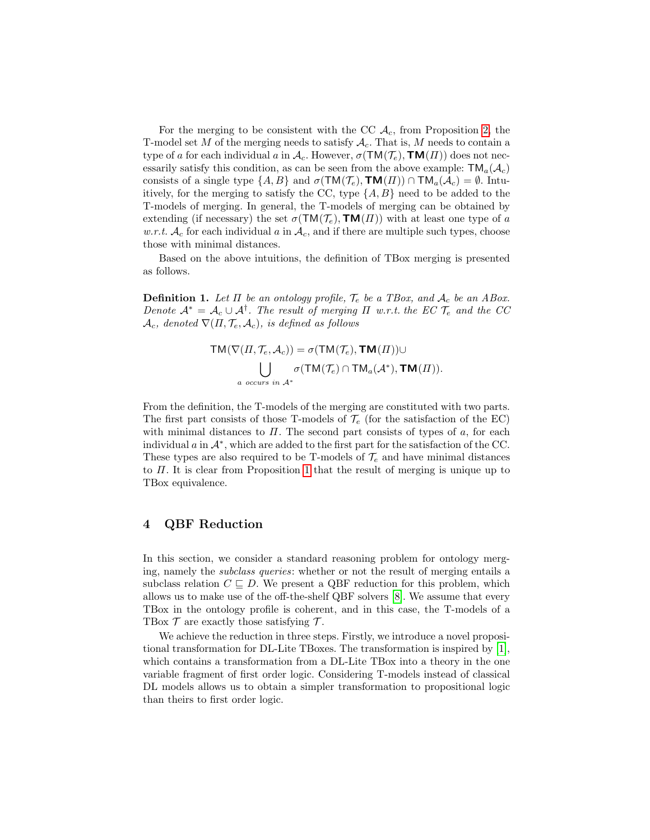For the merging to be consistent with the CC  $A_c$ , from Proposition [2,](#page-2-0) the T-model set M of the merging needs to satisfy  $A_c$ . That is, M needs to contain a type of a for each individual a in  $\mathcal{A}_c$ . However,  $\sigma(TM(\mathcal{T}_e), \text{TM}(\Pi))$  does not necessarily satisfy this condition, as can be seen from the above example:  $\mathsf{TM}_a(\mathcal{A}_c)$ consists of a single type  $\{A, B\}$  and  $\sigma(TM(\mathcal{T}_e), TM(\Pi)) \cap TM_a(\mathcal{A}_c) = \emptyset$ . Intuitively, for the merging to satisfy the CC, type  $\{A, B\}$  need to be added to the T-models of merging. In general, the T-models of merging can be obtained by extending (if necessary) the set  $\sigma(TM(\mathcal{T}_e),\text{TM}(\Pi))$  with at least one type of a w.r.t.  $\mathcal{A}_c$  for each individual a in  $\mathcal{A}_c$ , and if there are multiple such types, choose those with minimal distances.

Based on the above intuitions, the definition of TBox merging is presented as follows.

**Definition 1.** Let  $\Pi$  be an ontology profile,  $\mathcal{T}_e$  be a TBox, and  $\mathcal{A}_c$  be an ABox. Denote  $\mathcal{A}^* = \mathcal{A}_c \cup \mathcal{A}^{\dagger}$ . The result of merging  $\Pi$  w.r.t. the EC  $\mathcal{T}_e$  and the CC  $\mathcal{A}_c$ , denoted  $\nabla(\Pi, \mathcal{T}_e, \mathcal{A}_c)$ , is defined as follows

$$
TM(\nabla(\Pi, \mathcal{T}_e, \mathcal{A}_c)) = \sigma(TM(\mathcal{T}_e), TM(\Pi)) \cup
$$
  

$$
\bigcup_{a \text{ occurs in } \mathcal{A}^*} \sigma(TM(\mathcal{T}_e) \cap TM_a(\mathcal{A}^*), TM(\Pi)).
$$

From the definition, the T-models of the merging are constituted with two parts. The first part consists of those T-models of  $\mathcal{T}_e$  (for the satisfaction of the EC) with minimal distances to  $\Pi$ . The second part consists of types of  $a$ , for each individual  $a$  in  $\mathcal{A}^*$ , which are added to the first part for the satisfaction of the CC. These types are also required to be T-models of  $\mathcal{T}_e$  and have minimal distances to Π. It is clear from Proposition [1](#page-2-1) that the result of merging is unique up to TBox equivalence.

# 4 QBF Reduction

In this section, we consider a standard reasoning problem for ontology merging, namely the subclass queries: whether or not the result of merging entails a subclass relation  $C \subseteq D$ . We present a QBF reduction for this problem, which allows us to make use of the off-the-shelf QBF solvers [\[8\]](#page-11-7). We assume that every TBox in the ontology profile is coherent, and in this case, the T-models of a TBox  $\mathcal T$  are exactly those satisfying  $\mathcal T$ .

We achieve the reduction in three steps. Firstly, we introduce a novel propositional transformation for DL-Lite TBoxes. The transformation is inspired by  $|1|$ , which contains a transformation from a DL-Lite TBox into a theory in the one variable fragment of first order logic. Considering T-models instead of classical DL models allows us to obtain a simpler transformation to propositional logic than theirs to first order logic.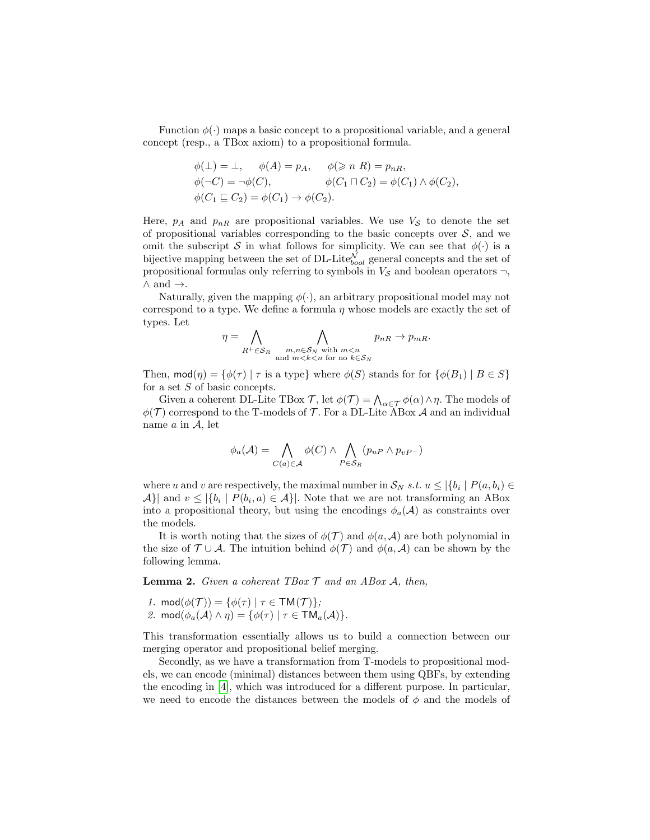Function  $\phi(\cdot)$  maps a basic concept to a propositional variable, and a general concept (resp., a TBox axiom) to a propositional formula.

$$
\phi(\bot) = \bot, \quad \phi(A) = p_A, \quad \phi(\geq n \ R) = p_{nR},
$$
  

$$
\phi(\neg C) = \neg \phi(C), \qquad \phi(C_1 \sqcap C_2) = \phi(C_1) \land \phi(C_2),
$$
  

$$
\phi(C_1 \sqsubseteq C_2) = \phi(C_1) \to \phi(C_2).
$$

Here,  $p_A$  and  $p_{nR}$  are propositional variables. We use  $V_S$  to denote the set of propositional variables corresponding to the basic concepts over  $S$ , and we omit the subscript S in what follows for simplicity. We can see that  $\phi(\cdot)$  is a bijective mapping between the set of DL-Lite $_{bool}^{\mathcal{N}}$  general concepts and the set of propositional formulas only referring to symbols in  $V_{\mathcal{S}}$  and boolean operators  $\neg$ ,  $\wedge$  and  $\rightarrow$ .

Naturally, given the mapping  $\phi(\cdot)$ , an arbitrary propositional model may not correspond to a type. We define a formula  $\eta$  whose models are exactly the set of types. Let

$$
\eta = \bigwedge_{R^+ \in \mathcal{S}_R} \bigwedge_{\substack{m,n \in \mathcal{S}_N \text{ with } m < n \\ \text{and } m < k < n \text{ for no } k \in \mathcal{S}_N}} p_{nR} \to p_{mR}.
$$

Then,  $\text{mod}(\eta) = \{ \phi(\tau) \mid \tau \text{ is a type} \}$  where  $\phi(S)$  stands for for  $\{ \phi(B_1) \mid B \in S \}$ for a set S of basic concepts.

Given a coherent DL-Lite TBox  $\mathcal{T}$ , let  $\phi(\mathcal{T}) = \bigwedge_{\alpha \in \mathcal{T}} \phi(\alpha) \wedge \eta$ . The models of  $\phi(\mathcal{T})$  correspond to the T-models of T. For a DL-Lite ABox A and an individual name  $a$  in  $\mathcal{A}$ , let

$$
\phi_a(\mathcal{A}) = \bigwedge_{C(a) \in \mathcal{A}} \phi(C) \land \bigwedge_{P \in \mathcal{S}_R} (p_{uP} \land p_{vP^-})
$$

where u and v are respectively, the maximal number in  $\mathcal{S}_N$  s.t.  $u \leq |\{b_i \mid P(a, b_i) \in$  $\mathcal{A}$ } and  $v \leq |\{b_i \mid P(b_i, a) \in \mathcal{A}\}|$ . Note that we are not transforming an ABox into a propositional theory, but using the encodings  $\phi_a(\mathcal{A})$  as constraints over the models.

It is worth noting that the sizes of  $\phi(\mathcal{T})$  and  $\phi(a, \mathcal{A})$  are both polynomial in the size of  $\mathcal{T} \cup \mathcal{A}$ . The intuition behind  $\phi(\mathcal{T})$  and  $\phi(a, \mathcal{A})$  can be shown by the following lemma.

**Lemma 2.** Given a coherent TBox  $\mathcal T$  and an ABox  $\mathcal A$ , then,

- 1.  $\text{mod}(\phi(\mathcal{T})) = \{\phi(\tau) \mid \tau \in \text{TM}(\mathcal{T})\};$
- 2. mod $(\phi_a(\mathcal{A}) \wedge \eta) = {\phi(\tau) | \tau \in TM_a(\mathcal{A})}.$

This transformation essentially allows us to build a connection between our merging operator and propositional belief merging.

Secondly, as we have a transformation from T-models to propositional models, we can encode (minimal) distances between them using QBFs, by extending the encoding in [\[4\]](#page-11-12), which was introduced for a different purpose. In particular, we need to encode the distances between the models of  $\phi$  and the models of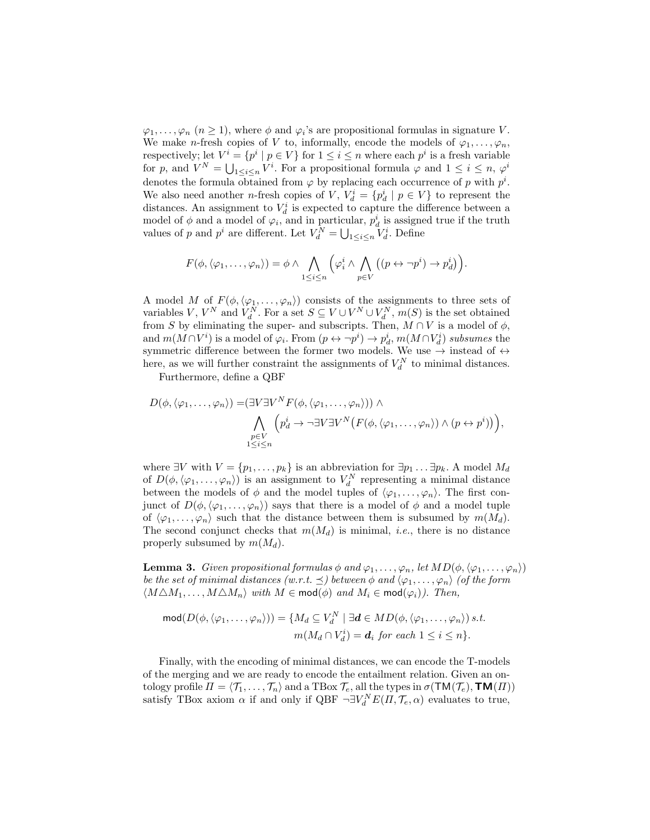$\varphi_1, \ldots, \varphi_n$   $(n \geq 1)$ , where  $\phi$  and  $\varphi_i$ 's are propositional formulas in signature V. We make *n*-fresh copies of V to, informally, encode the models of  $\varphi_1, \ldots, \varphi_n$ , respectively; let  $V^i = \{p^i \mid p \in V\}$  for  $1 \leq i \leq n$  where each  $p^i$  is a fresh variable for p, and  $V^N = \bigcup_{1 \leq i \leq n} V^i$ . For a propositional formula  $\varphi$  and  $1 \leq i \leq n$ ,  $\varphi^i$ denotes the formula obtained from  $\varphi$  by replacing each occurrence of p with  $p^i$ . We also need another *n*-fresh copies of V,  $V_d^i = \{p_d^i \mid p \in V\}$  to represent the distances. An assignment to  $V_d^i$  is expected to capture the difference between a model of  $\phi$  and a model of  $\varphi_i$ , and in particular,  $p_d^i$  is assigned true if the truth values of p and  $p^i$  are different. Let  $V_d^N = \bigcup_{1 \leq i \leq n} V_d^i$ . Define

$$
F(\phi, \langle \varphi_1, \ldots, \varphi_n \rangle) = \phi \wedge \bigwedge_{1 \leq i \leq n} \left( \varphi_i^i \wedge \bigwedge_{p \in V} \left( (p \leftrightarrow \neg p^i) \to p_d^i \right) \right).
$$

A model M of  $F(\phi, \langle \varphi_1, \ldots, \varphi_n \rangle)$  consists of the assignments to three sets of variables V,  $V^N$  and  $V_d^N$ . For a set  $S \subseteq V \cup V^N \cup V_d^N$ ,  $m(S)$  is the set obtained from S by eliminating the super- and subscripts. Then,  $M \cap V$  is a model of  $\phi$ , and  $m(M \cap V^i)$  is a model of  $\varphi_i$ . From  $(p \leftrightarrow \neg p^i) \rightarrow p_d^i$ ,  $m(M \cap V_d^i)$  subsumes the symmetric difference between the former two models. We use  $\rightarrow$  instead of  $\leftrightarrow$ here, as we will further constraint the assignments of  $V_d^N$  to minimal distances.

Furthermore, define a QBF

$$
D(\phi, \langle \varphi_1, \ldots, \varphi_n \rangle) = (\exists V \exists V^N F(\phi, \langle \varphi_1, \ldots, \varphi_n \rangle)) \land \bigwedge_{\substack{p \in V \\ 1 \leq i \leq n}} \left( p_d^i \to \neg \exists V \exists V^N \big( F(\phi, \langle \varphi_1, \ldots, \varphi_n \rangle) \land (p \leftrightarrow p^i) \big) \right),
$$

where  $\exists V$  with  $V = \{p_1, \ldots, p_k\}$  is an abbreviation for  $\exists p_1 \ldots \exists p_k$ . A model  $M_d$ of  $D(\phi, \langle \varphi_1, \ldots, \varphi_n \rangle)$  is an assignment to  $V_d^N$  representing a minimal distance between the models of  $\phi$  and the model tuples of  $\langle \varphi_1, \ldots, \varphi_n \rangle$ . The first conjunct of  $D(\phi, \langle \varphi_1, \ldots, \varphi_n \rangle)$  says that there is a model of  $\phi$  and a model tuple of  $\langle \varphi_1, \ldots, \varphi_n \rangle$  such that the distance between them is subsumed by  $m(M_d)$ . The second conjunct checks that  $m(M_d)$  is minimal, *i.e.*, there is no distance properly subsumed by  $m(M_d)$ .

**Lemma 3.** Given propositional formulas  $\phi$  and  $\varphi_1, \ldots, \varphi_n$ , let  $MD(\phi, \langle \varphi_1, \ldots, \varphi_n \rangle)$ be the set of minimal distances (w.r.t.  $\preceq$ ) between  $\phi$  and  $\langle \varphi_1, \ldots, \varphi_n \rangle$  (of the form  $\langle M \triangle M_1, \ldots, M \triangle M_n \rangle$  with  $M \in \text{mod}(\phi)$  and  $M_i \in \text{mod}(\varphi_i)$ ). Then,

$$
\text{mod}(D(\phi, \langle \varphi_1, \dots, \varphi_n \rangle)) = \{ M_d \subseteq V_d^N \mid \exists d \in MD(\phi, \langle \varphi_1, \dots, \varphi_n \rangle) \text{ s.t. } \\ m(M_d \cap V_d^i) = d_i \text{ for each } 1 \leq i \leq n \}.
$$

Finally, with the encoding of minimal distances, we can encode the T-models of the merging and we are ready to encode the entailment relation. Given an ontology profile  $\Pi = \langle \mathcal{T}_1, \ldots, \mathcal{T}_n \rangle$  and a TBox  $\mathcal{T}_e$ , all the types in  $\sigma(TM(\mathcal{T}_e), TM(\Pi))$ satisfy TBox axiom  $\alpha$  if and only if QBF  $\neg \exists V_d^N E(\Pi, \mathcal{T}_e, \alpha)$  evaluates to true,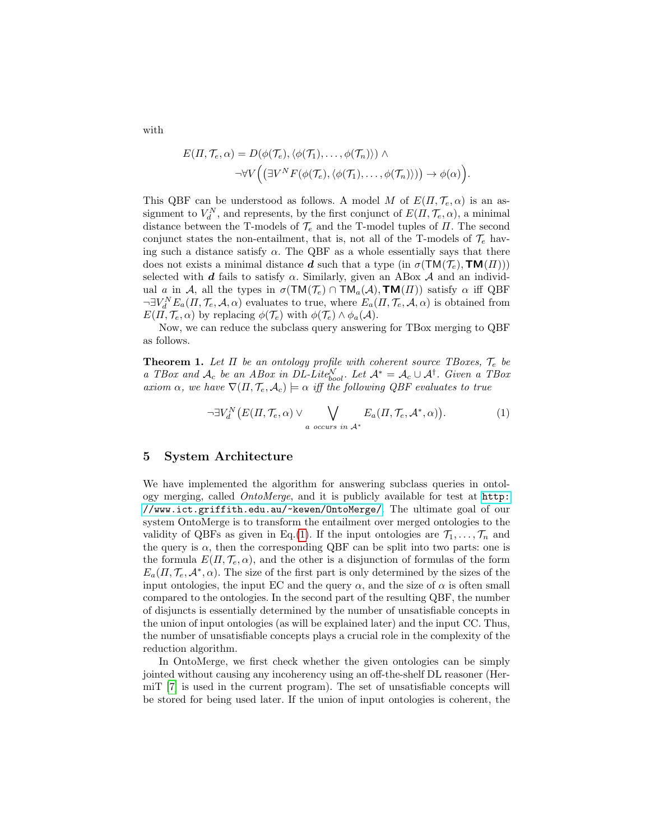with

$$
E(\Pi, \mathcal{T}_e, \alpha) = D(\phi(\mathcal{T}_e), \langle \phi(\mathcal{T}_1), \dots, \phi(\mathcal{T}_n) \rangle) \wedge
$$
  

$$
\neg \forall V \Big( \big( \exists V^N F(\phi(\mathcal{T}_e), \langle \phi(\mathcal{T}_1), \dots, \phi(\mathcal{T}_n) \rangle) \big) \rightarrow \phi(\alpha) \Big).
$$

This QBF can be understood as follows. A model M of  $E(\Pi, \mathcal{T}_e, \alpha)$  is an assignment to  $V_d^N$ , and represents, by the first conjunct of  $E(\Pi, \mathcal{T}_e, \alpha)$ , a minimal distance between the T-models of  $\mathcal{T}_e$  and the T-model tuples of  $\Pi$ . The second conjunct states the non-entailment, that is, not all of the T-models of  $\mathcal{T}_e$  having such a distance satisfy  $\alpha$ . The QBF as a whole essentially says that there does not exists a minimal distance **d** such that a type (in  $\sigma(TM(\mathcal{T}_e), \textbf{TM}(H)))$ ) selected with d fails to satisfy  $\alpha$ . Similarly, given an ABox  $\mathcal A$  and an individual a in A, all the types in  $\sigma(TM(\mathcal{T}_e) \cap TM_a(\mathcal{A}), TM(\Pi))$  satisfy  $\alpha$  iff QBF  $\neg \exists V_d^N E_a(\Pi, \mathcal{T}_e, \mathcal{A}, \alpha)$  evaluates to true, where  $E_a(\Pi, \mathcal{T}_e, \mathcal{A}, \alpha)$  is obtained from  $E(\Pi, \mathcal{T}_e, \alpha)$  by replacing  $\phi(\mathcal{T}_e)$  with  $\phi(\mathcal{T}_e) \wedge \phi_a(\mathcal{A})$ .

Now, we can reduce the subclass query answering for TBox merging to QBF as follows.

**Theorem 1.** Let  $\Pi$  be an ontology profile with coherent source TBoxes,  $\mathcal{T}_e$  be a TBox and  $\mathcal{A}_c$  be an ABox in DL-Lite<sub>bool</sub>. Let  $\mathcal{A}^* = \mathcal{A}_c \cup \mathcal{A}^{\dagger}$ . Given a TBox axiom  $\alpha$ , we have  $\nabla(\Pi, \mathcal{T}_e, \mathcal{A}_c) \models \alpha$  iff the following QBF evaluates to true

<span id="page-7-0"></span>
$$
\neg \exists V_d^N(E(\Pi, \mathcal{T}_e, \alpha) \vee \bigvee_{a \text{ occurs in } \mathcal{A}^*} E_a(\Pi, \mathcal{T}_e, \mathcal{A}^*, \alpha)). \tag{1}
$$

### 5 System Architecture

We have implemented the algorithm for answering subclass queries in ontology merging, called OntoMerge, and it is publicly available for test at [http:](http://www.ict.griffith.edu.au/~kewen/OntoMerge/) [//www.ict.griffith.edu.au/~kewen/OntoMerge/](http://www.ict.griffith.edu.au/~kewen/OntoMerge/). The ultimate goal of our system OntoMerge is to transform the entailment over merged ontologies to the validity of QBFs as given in Eq.[\(1\)](#page-7-0). If the input ontologies are  $\mathcal{T}_1, \ldots, \mathcal{T}_n$  and the query is  $\alpha$ , then the corresponding QBF can be split into two parts: one is the formula  $E(\Pi, \mathcal{T}_e, \alpha)$ , and the other is a disjunction of formulas of the form  $E_a(\Pi, \mathcal{T}_e, \mathcal{A}^*, \alpha)$ . The size of the first part is only determined by the sizes of the input ontologies, the input EC and the query  $\alpha$ , and the size of  $\alpha$  is often small compared to the ontologies. In the second part of the resulting QBF, the number of disjuncts is essentially determined by the number of unsatisfiable concepts in the union of input ontologies (as will be explained later) and the input CC. Thus, the number of unsatisfiable concepts plays a crucial role in the complexity of the reduction algorithm.

In OntoMerge, we first check whether the given ontologies can be simply jointed without causing any incoherency using an off-the-shelf DL reasoner (HermiT [\[7\]](#page-11-13) is used in the current program). The set of unsatisfiable concepts will be stored for being used later. If the union of input ontologies is coherent, the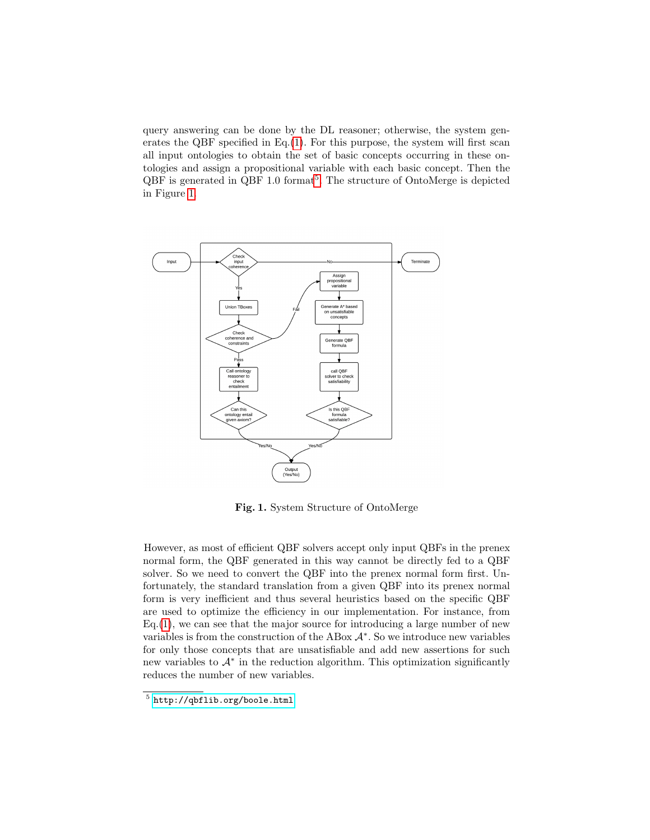query answering can be done by the DL reasoner; otherwise, the system generates the QBF specified in Eq. $(1)$ . For this purpose, the system will first scan all input ontologies to obtain the set of basic concepts occurring in these ontologies and assign a propositional variable with each basic concept. Then the  $QBF$  is generated in  $QBF$  1.0 format<sup>[5](#page-8-0)</sup>. The structure of OntoMerge is depicted in Figure [1.](#page-8-1)



<span id="page-8-1"></span>Fig. 1. System Structure of OntoMerge

However, as most of efficient QBF solvers accept only input QBFs in the prenex normal form, the QBF generated in this way cannot be directly fed to a QBF solver. So we need to convert the QBF into the prenex normal form first. Unfortunately, the standard translation from a given QBF into its prenex normal form is very inefficient and thus several heuristics based on the specific QBF are used to optimize the efficiency in our implementation. For instance, from  $Eq.(1)$  $Eq.(1)$ , we can see that the major source for introducing a large number of new variables is from the construction of the ABox  $\mathcal{A}^*$ . So we introduce new variables for only those concepts that are unsatisfiable and add new assertions for such new variables to  $\mathcal{A}^*$  in the reduction algorithm. This optimization significantly reduces the number of new variables.

<span id="page-8-0"></span> $^5$ <http://qbflib.org/boole.html>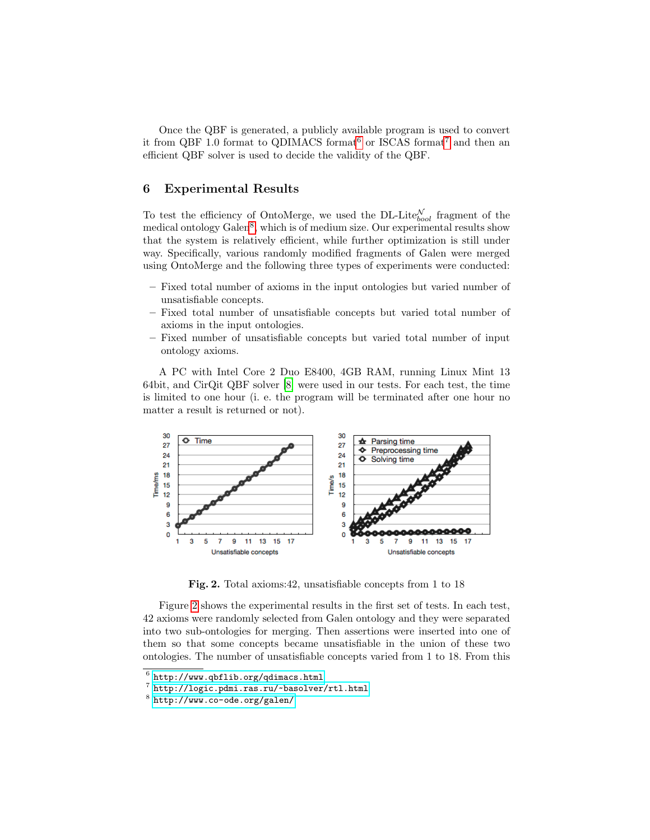Once the QBF is generated, a publicly available program is used to convert it from QBF 1.0 format to QDIMACS format<sup>[6](#page-9-0)</sup> or ISCAS format<sup>[7](#page-9-1)</sup> and then an efficient QBF solver is used to decide the validity of the QBF.

# 6 Experimental Results

To test the efficiency of OntoMerge, we used the DL-Lite $_{bool}^{\mathcal{N}}$  fragment of the medical ontology Galen<sup>[8](#page-9-2)</sup>, which is of medium size. Our experimental results show that the system is relatively efficient, while further optimization is still under way. Specifically, various randomly modified fragments of Galen were merged using OntoMerge and the following three types of experiments were conducted:

- Fixed total number of axioms in the input ontologies but varied number of unsatisfiable concepts.
- Fixed total number of unsatisfiable concepts but varied total number of axioms in the input ontologies.
- Fixed number of unsatisfiable concepts but varied total number of input ontology axioms.

A PC with Intel Core 2 Duo E8400, 4GB RAM, running Linux Mint 13 64bit, and CirQit QBF solver [\[8\]](#page-11-7) were used in our tests. For each test, the time is limited to one hour (i. e. the program will be terminated after one hour no matter a result is returned or not).



<span id="page-9-3"></span>Fig. 2. Total axioms:42, unsatisfiable concepts from 1 to 18

Figure [2](#page-9-3) shows the experimental results in the first set of tests. In each test, 42 axioms were randomly selected from Galen ontology and they were separated into two sub-ontologies for merging. Then assertions were inserted into one of them so that some concepts became unsatisfiable in the union of these two ontologies. The number of unsatisfiable concepts varied from 1 to 18. From this

<span id="page-9-0"></span> $^6$  <http://www.qbflib.org/qdimacs.html>

<span id="page-9-1"></span><sup>7</sup> <http://logic.pdmi.ras.ru/~basolver/rtl.html>

<span id="page-9-2"></span> $^8$  <http://www.co-ode.org/galen/>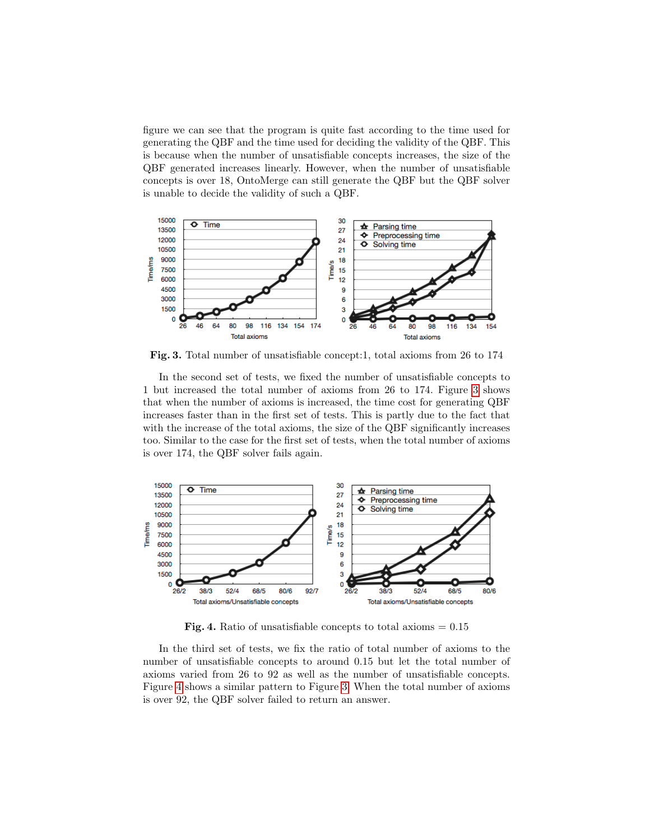figure we can see that the program is quite fast according to the time used for generating the QBF and the time used for deciding the validity of the QBF. This is because when the number of unsatisfiable concepts increases, the size of the QBF generated increases linearly. However, when the number of unsatisfiable concepts is over 18, OntoMerge can still generate the QBF but the QBF solver is unable to decide the validity of such a QBF.



<span id="page-10-0"></span>Fig. 3. Total number of unsatisfiable concept:1, total axioms from 26 to 174

In the second set of tests, we fixed the number of unsatisfiable concepts to 1 but increased the total number of axioms from 26 to 174. Figure [3](#page-10-0) shows that when the number of axioms is increased, the time cost for generating QBF increases faster than in the first set of tests. This is partly due to the fact that with the increase of the total axioms, the size of the QBF significantly increases too. Similar to the case for the first set of tests, when the total number of axioms is over 174, the QBF solver fails again.



<span id="page-10-1"></span>Fig. 4. Ratio of unsatisfiable concepts to total axioms  $= 0.15$ 

In the third set of tests, we fix the ratio of total number of axioms to the number of unsatisfiable concepts to around 0.15 but let the total number of axioms varied from 26 to 92 as well as the number of unsatisfiable concepts. Figure [4](#page-10-1) shows a similar pattern to Figure [3.](#page-10-0) When the total number of axioms is over 92, the QBF solver failed to return an answer.